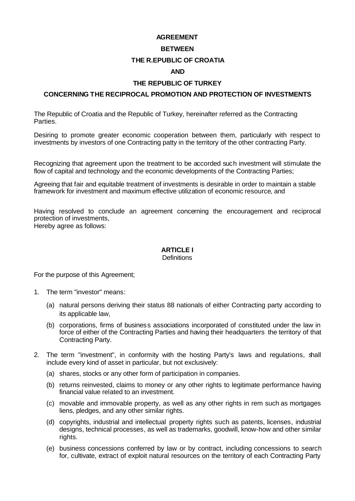#### **AGREEMENT**

#### **BETWEEN**

## **THE R.EPUBLIC OF CROATIA**

#### **AND**

#### **THE REPUBLIC OF TURKEY**

#### **CONCERNING THE RECIPROCAL PROMOTION AND PROTECTION OF INVESTMENTS**

The Republic of Croatia and the Republic of Turkey, hereinafter referred as the Contracting Parties.

Desiring to promote greater economic cooperation between them, particularly with respect to investments by investors of one Contracting patty in the territory of the other contracting Party.

Recognizing that agreement upon the treatment to be accorded such investment will stimulate the flow of capital and technology and the economic developments of the Contracting Parties;

Agreeing that fair and equitable treatment of investments is desirable in order to maintain a stable framework for investment and maximum effective utilization of economic resource, and

Having resolved to conclude an agreement concerning the encouragement and reciprocal protection of investments, Hereby agree as follows:

# **ARTICLE I**

## **Definitions**

For the purpose of this Agreement;

- 1. The term "investor" means:
	- (a) natural persons deriving their status 88 nationals of either Contracting party according to its applicable law,
	- (b) corporations, firms of business associations incorporated of constituted under the law in force of either of the Contracting Parties and having their headquarters the territory of that Contracting Party.
- 2. The term "investment", in conformity with the hosting Party's laws and regulations, shall include every kind of asset in particular, but not exclusively:
	- (a) shares, stocks or any other form of participation in companies.
	- (b) returns reinvested, claims to money or any other rights to legitimate performance having financial value related to an investment.
	- (c) movable and immovable property, as well as any other rights in rem such as mortgages liens, pledges, and any other similar rights.
	- (d) copyrights, industrial and intellectual property rights such as patents, licenses, industrial designs, technical processes, as well as trademarks, goodwill, know-how and other similar rights.
	- (e) business concessions conferred by law or by contract, including concessions to search for, cultivate, extract of exploit natural resources on the territory of each Contracting Party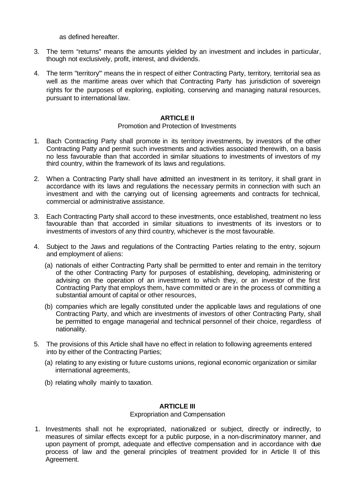as defined hereafter.

- 3. The term "returns" means the amounts yielded by an investment and includes in particular, though not exclusively, profit, interest, and dividends.
- 4. The term "territory'" means the in respect of either Contracting Party, territory, territorial sea as well as the maritime areas over which that Contracting Party has jurisdiction of sovereign rights for the purposes of exploring, exploiting, conserving and managing natural resources, pursuant to international law.

## **ARTICLE II**

#### Promotion and Protection of Investments

- 1. Bach Contracting Party shall promote in its territory investments, by investors of the other Contracting Patty and permit such investments and activities associated therewith, on a basis no less favourable than that accorded in similar situations to investments of investors of my third country, within the framework of its laws and regulations.
- 2. When a Contracting Party shall have admitted an investment in its territory, it shall grant in accordance with its laws and regulations the necessary permits in connection with such an investment and with the carrying out of licensing agreements and contracts for technical, commercial or administrative assistance.
- 3. Each Contracting Party shall accord to these investments, once established, treatment no less favourable than that accorded in similar situations to investments of its investors or to investments of investors of any third country, whichever is the most favourable.
- 4. Subject to the Jaws and regulations of the Contracting Parties relating to the entry, sojourn and employment of aliens:
	- (a) nationals of either Contracting Party shall be permitted to enter and remain in the territory of the other Contracting Party for purposes of establishing, developing, administering or advising on the operation of an investment to which they, or an investor of the first Contracting Party that employs them, have committed or are in the process of committing a substantial amount of capital or other resources,
	- (b) companies which are legally constituted under the applicable laws and regulations of one Contracting Party, and which are investments of investors of other Contracting Party, shall be permitted to engage managerial and technical personnel of their choice, regardless of nationality.
- 5. The provisions of this Article shall have no effect in relation to following agreements entered into by either of the Contracting Parties;
	- (a) relating to any existing or future customs unions, regional economic organization or similar international agreements,
	- (b) relating wholly mainly to taxation.

## **ARTICLE III**

## Expropriation and Compensation

1. Investments shall not he expropriated, nationalized or subject, directly or indirectly, to measures of similar effects except for a public purpose, in a non-discriminatory manner, and upon payment of prompt, adequate and effective compensation and in accordance with due process of law and the general principles of treatment provided for in Article II of this Agreement.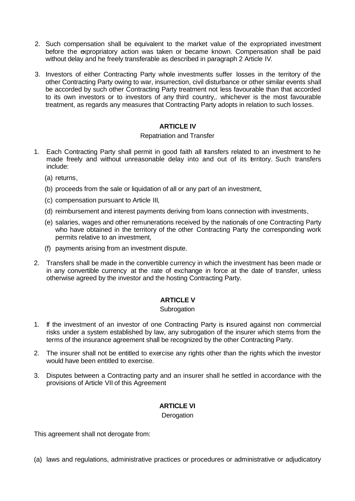- 2. Such compensation shall be equivalent to the market value of the expropriated investment before the expropriatory action was taken or became known. Compensation shall be paid without delay and he freely transferable as described in paragraph 2 Article IV.
- 3. Investors of either Contracting Party whole investments suffer losses in the territory of the other Contracting Party owing to war, insurrection, civil disturbance or other similar events shall be accorded by such other Contracting Party treatment not less favourable than that accorded to its own investors or to investors of any third country,. whichever is the most favourable treatment, as regards any measures that Contracting Party adopts in relation to such losses.

# **ARTICLE IV**

## Repatriation and Transfer

- 1. Each Contracting Party shall permit in good faith all transfers related to an investment to he made freely and without unreasonable delay into and out of its erritory. Such transfers include:
	- (a) returns,
	- (b) proceeds from the sale or liquidation of all or any part of an investment,
	- (c) compensation pursuant to Article III,
	- (d) reimbursement and interest payments deriving from loans connection with investments,
	- (e) salaries, wages and other remunerations received by the nationals of one Contracting Party who have obtained in the territory of the other Contracting Party the corresponding work permits relative to an investment,
	- (f) payments arising from an investment dispute.
- 2. Transfers shall be made in the convertible currency in which the investment has been made or in any convertible currency at the rate of exchange in force at the date of transfer, unless otherwise agreed by the investor and the hosting Contracting Party.

# **ARTICLE V**

## **Subrogation**

- 1. If the investment of an investor of one Contracting Party is insured against non commercial risks under a system established by law, any subrogation of the insurer which stems from the terms of the insurance agreement shall be recognized by the other Contracting Party.
- 2. The insurer shall not be entitled to exercise any rights other than the rights which the investor would have been entitled to exercise.
- 3. Disputes between a Contracting party and an insurer shall he settled in accordance with the provisions of Article VII of this Agreement

# **ARTICLE VI**

**Derogation** 

This agreement shall not derogate from:

(a) laws and regulations, administrative practices or procedures or administrative or adjudicatory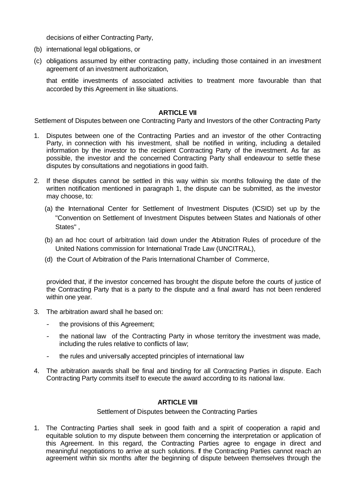decisions of either Contracting Party,

- (b) international legal obligations, or
- (c) obligations assumed by either contracting patty, including those contained in an investment agreement of an investment authorization,

that entitle investments of associated activities to treatment more favourable than that accorded by this Agreement in like situations.

#### **ARTICLE VII**

Settlement of Disputes between one Contracting Party and Investors of the other Contracting Party

- 1. Disputes between one of the Contracting Parties and an investor of the other Contracting Party, in connection with his investment, shall be notified in writing, including a detailed information by the investor to the recipient Contracting Party of the investment. As far as possible, the investor and the concerned Contracting Party shall endeavour to settle these disputes by consultations and negotiations in good faith.
- 2. If these disputes cannot be settled in this way within six months following the date of the written notification mentioned in paragraph 1, the dispute can be submitted, as the investor may choose, to:
	- (a) the International Center for Settlement of Investment Disputes (ICSID) set up by the "Convention on Settlement of Investment Disputes between States and Nationals of other States" ,
	- (b) an ad hoc court of arbitration !aid down under the Arbitration Rules of procedure of the United Nations commission for International Trade Law (UNCITRAL),
	- (d) the Court of Arbitration of the Paris International Chamber of Commerce,

provided that, if the investor concerned has brought the dispute before the courts of justice of the Contracting Party that is a party to the dispute and a final award has not been rendered within one year.

- 3. The arbitration award shall he based on:
	- the provisions of this Agreement;
	- the national law of the Contracting Party in whose territory the investment was made, including the rules relative to conflicts of law;
	- the rules and universally accepted principles of international law
- 4. The arbitration awards shall be final and binding for all Contracting Parties in dispute. Each Contracting Party commits itself to execute the award according to its national law.

## **ARTICLE VIII**

#### Settlement of Disputes between the Contracting Parties

1. The Contracting Parties shall seek in good faith and a spirit of cooperation a rapid and equitable solution to my dispute between them concerning the interpretation or application of this Agreement. In this regard, the Contracting Parties agree to engage in direct and meaningful negotiations to arrive at such solutions. If the Contracting Parties cannot reach an agreement within six months after the beginning of dispute between themselves through the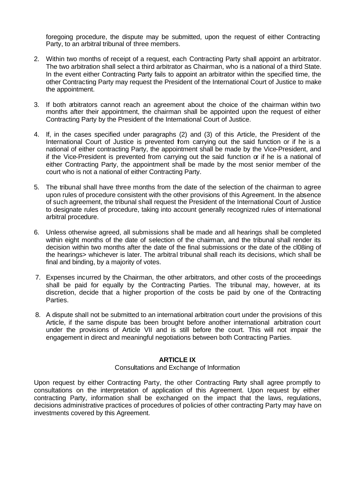foregoing procedure, the dispute may be submitted, upon the request of either Contracting Party, to an arbitral tribunal of three members.

- 2. Within two months of receipt of a request, each Contracting Party shall appoint an arbitrator. The two arbitration shall select a third arbitrator as Chairman, who is a national of a third State. In the event either Contracting Party fails to appoint an arbitrator within the specified time, the other Contracting Party may request the President of the International Court of Justice to make the appointment.
- 3. If both arbitrators cannot reach an agreement about the choice of the chairman within two months after their appointment, the chairman shall be appointed upon the request of either Contracting Party by the President of the International Court of Justice.
- 4. If, in the cases specified under paragraphs (2) and (3) of this Article, the President of the International Court of Justice is prevented from carrying out the said function or if he is a national of either contracting Party, the appointment shall be made by the Vice-President, and if the Vice-President is prevented from carrying out the said function or if he is a national of either Contracting Party, the appointment shall be made by the most senior member of the court who is not a national of either Contracting Party.
- 5. The tribunal shall have three months from the date of the selection of the chairman to agree upon rules of procedure consistent with the other provisions of this Agreement. In the absence of such agreement, the tribunal shall request the President of the International Court of Justice to designate rules of procedure, taking into account generally recognized rules of international arbitral procedure.
- 6. Unless otherwise agreed, all submissions shall be made and all hearings shall be completed within eight months of the date of selection of the chairman, and the tribunal shall render its decision within two months after the date of the final submissions or the date of the cl08ing of the hearings> whichever is later. The arbitral tribunal shall reach its decisions, which shall be final and binding, by a majority of votes.
- 7. Expenses incurred by the Chairman, the other arbitrators, and other costs of the proceedings shall be paid for equally by the Contracting Parties. The tribunal may, however, at its discretion, decide that a higher proportion of the costs be paid by one of the Contracting Parties.
- 8. A dispute shall not be submitted to an international arbitration court under the provisions of this Article, if the same dispute bas been brought before another international arbitration court under the provisions of Article VII and is still before the court. This will not impair the engagement in direct and meaningful negotiations between both Contracting Parties.

# **ARTICLE IX**

#### Consultations and Exchange of Information

Upon request by either Contracting Party, the other Contracting Party shall agree promptly to consultations on the interpretation of application of this Agreement. Upon request by either contracting Party, information shall be exchanged on the impact that the laws, regulations, decisions administrative practices of procedures of policies of other contracting Party may have on investments covered by this Agreement.